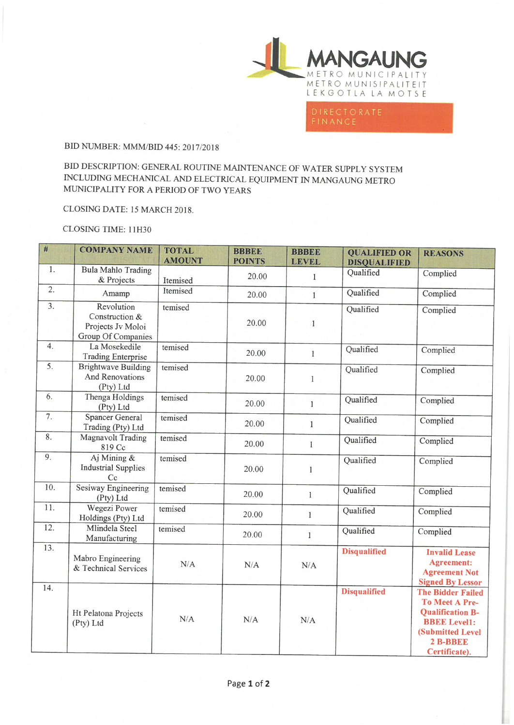

## BID NUMBER: MMM/BID 445: 2017/2018

BID DESCRIPTION: GENERAL ROUTINE MAINTENANCE OF WATER SUPPLY SYSTEM INCLUDING MECHANICAL AND ELECTRICAL EQUIPMENT IN MANGAUNG METRO MUNICIPALITY FOR A PERIOD OF TWO YEARS

## CLOSING DATE: 15 MARCH 2018.

## CLOSING TIME: 11H30

| #                | <b>COMPANY NAME</b>                                                     | <b>TOTAL</b><br><b>AMOUNT</b> | <b>BBBEE</b><br><b>POINTS</b> | <b>BBBEE</b><br><b>LEVEL</b> | <b>QUALIFIED OR</b><br><b>DISQUALIFIED</b> | <b>REASONS</b>                                                                                                                                       |
|------------------|-------------------------------------------------------------------------|-------------------------------|-------------------------------|------------------------------|--------------------------------------------|------------------------------------------------------------------------------------------------------------------------------------------------------|
| 1.               | <b>Bula Mahlo Trading</b><br>& Projects                                 | Itemised                      | 20.00                         | 1                            | Qualified                                  | Complied                                                                                                                                             |
| 2.               | Amamp                                                                   | Itemised                      | 20.00                         | $\mathbf{1}$                 | Qualified                                  | Complied                                                                                                                                             |
| $\overline{3}$ . | Revolution<br>Construction &<br>Projects Jv Moloi<br>Group Of Companies | temised                       | 20.00                         | $\mathbf{1}$                 | Qualified                                  | Complied                                                                                                                                             |
| 4.               | La Mosekedile<br><b>Trading Enterprise</b>                              | temised                       | 20.00                         | $\,1$                        | Qualified                                  | Complied                                                                                                                                             |
| 5.               | <b>Brightwave Building</b><br>And Renovations<br>(Pty) Ltd              | temised                       | 20.00                         | $\mathbf{I}$                 | Qualified                                  | Complied                                                                                                                                             |
| 6.               | Thenga Holdings<br>(Pty) Ltd                                            | temised                       | 20.00                         | $\mathbf{1}$                 | Qualified                                  | Complied                                                                                                                                             |
| $\overline{7}$ . | <b>Spancer General</b><br>Trading (Pty) Ltd                             | temised                       | 20.00                         | $\mathbf{1}$                 | Qualified                                  | Complied                                                                                                                                             |
| 8.               | <b>Magnavolt Trading</b><br>819 Cc                                      | temised                       | 20.00                         | 1                            | Qualified                                  | Complied                                                                                                                                             |
| 9.               | Aj Mining &<br><b>Industrial Supplies</b><br>Cc                         | temised                       | 20.00                         | 1                            | Qualified                                  | Complied                                                                                                                                             |
| 10.              | Sesiway Engineering<br>(Pty) Ltd                                        | temised                       | 20.00                         | $\mathbf{1}$                 | Qualified                                  | Complied                                                                                                                                             |
| 11.              | Wegezi Power<br>Holdings (Pty) Ltd                                      | temised                       | 20.00                         | $\mathbf{1}$                 | Qualified                                  | Complied                                                                                                                                             |
| 12.              | Mlindela Steel<br>Manufacturing                                         | temised                       | 20.00                         | 1                            | Qualified                                  | Complied                                                                                                                                             |
| 13.              | Mabro Engineering<br>& Technical Services                               | N/A                           | N/A                           | N/A                          | <b>Disqualified</b>                        | <b>Invalid Lease</b><br><b>Agreement:</b><br><b>Agreement Not</b><br><b>Signed By Lessor</b>                                                         |
| 14.              | Ht Pelatona Projects<br>(Pty) Ltd                                       | N/A                           | N/A                           | N/A                          | <b>Disqualified</b>                        | <b>The Bidder Failed</b><br><b>To Meet A Pre-</b><br><b>Qualification B-</b><br><b>BBEE Level1:</b><br>(Submitted Level<br>2 B-BBEE<br>Certificate). |